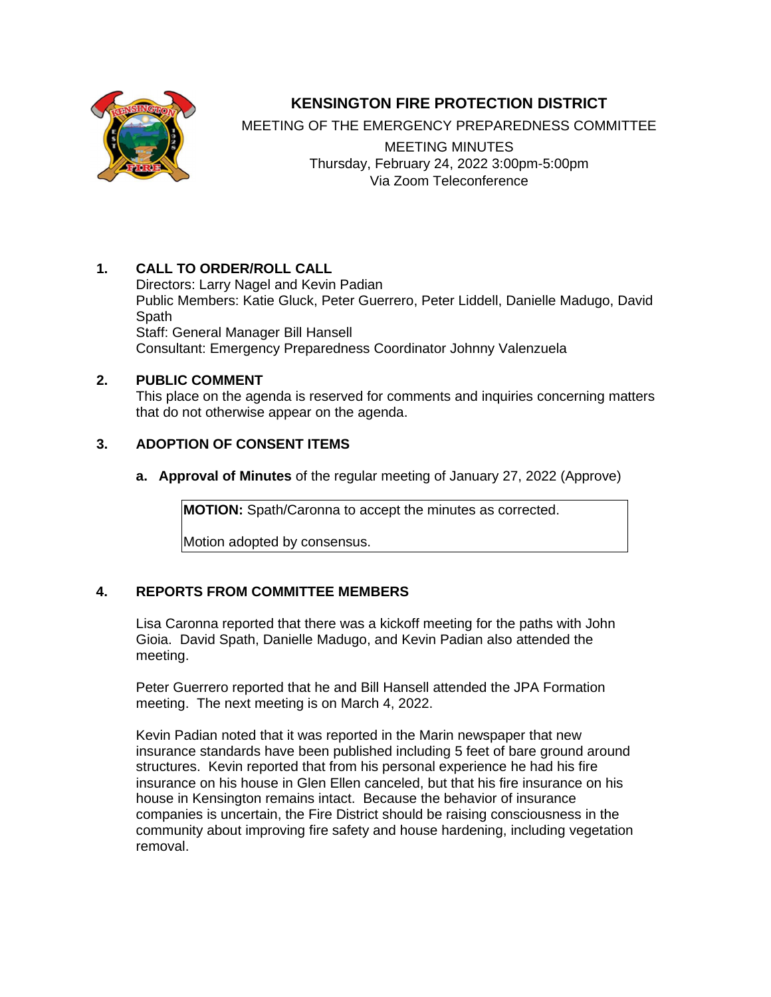

# **KENSINGTON FIRE PROTECTION DISTRICT**

MEETING OF THE EMERGENCY PREPAREDNESS COMMITTEE

MEETING MINUTES Thursday, February 24, 2022 3:00pm-5:00pm Via Zoom Teleconference

## **1. CALL TO ORDER/ROLL CALL**

Directors: Larry Nagel and Kevin Padian Public Members: Katie Gluck, Peter Guerrero, Peter Liddell, Danielle Madugo, David Spath Staff: General Manager Bill Hansell Consultant: Emergency Preparedness Coordinator Johnny Valenzuela

## **2. PUBLIC COMMENT**

This place on the agenda is reserved for comments and inquiries concerning matters that do not otherwise appear on the agenda.

# **3. ADOPTION OF CONSENT ITEMS**

**a. Approval of Minutes** of the regular meeting of January 27, 2022 (Approve)

**MOTION:** Spath/Caronna to accept the minutes as corrected.

Motion adopted by consensus.

# **4. REPORTS FROM COMMITTEE MEMBERS**

Lisa Caronna reported that there was a kickoff meeting for the paths with John Gioia. David Spath, Danielle Madugo, and Kevin Padian also attended the meeting.

Peter Guerrero reported that he and Bill Hansell attended the JPA Formation meeting. The next meeting is on March 4, 2022.

Kevin Padian noted that it was reported in the Marin newspaper that new insurance standards have been published including 5 feet of bare ground around structures. Kevin reported that from his personal experience he had his fire insurance on his house in Glen Ellen canceled, but that his fire insurance on his house in Kensington remains intact. Because the behavior of insurance companies is uncertain, the Fire District should be raising consciousness in the community about improving fire safety and house hardening, including vegetation removal.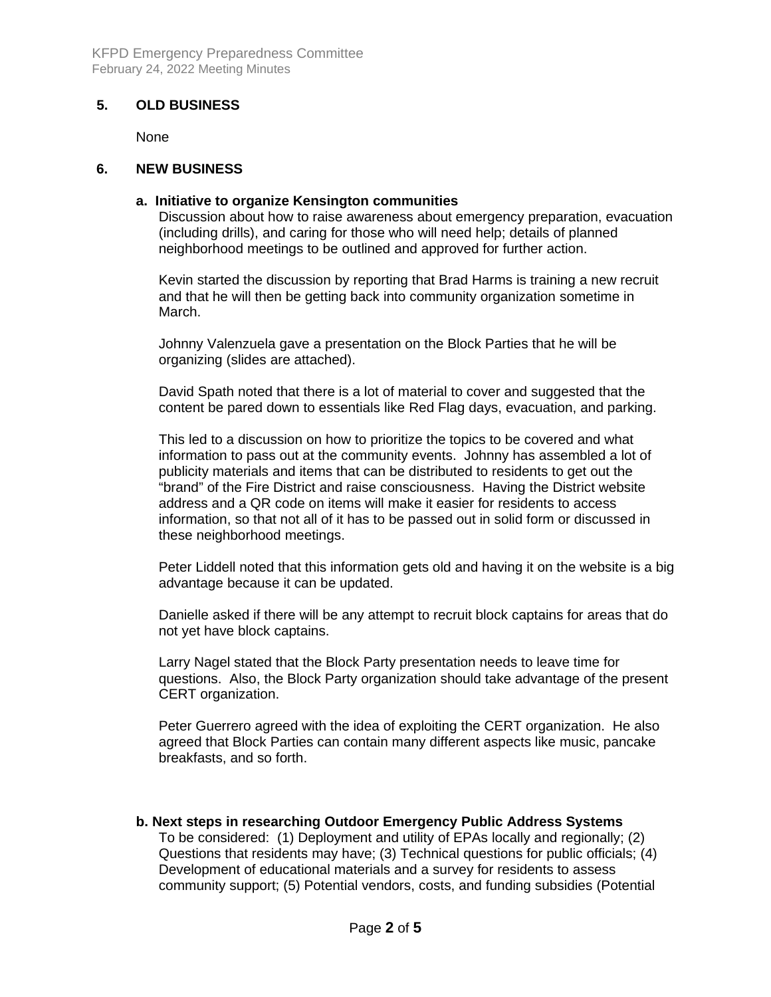### **5. OLD BUSINESS**

None

#### **6. NEW BUSINESS**

### **a. Initiative to organize Kensington communities**

Discussion about how to raise awareness about emergency preparation, evacuation (including drills), and caring for those who will need help; details of planned neighborhood meetings to be outlined and approved for further action.

Kevin started the discussion by reporting that Brad Harms is training a new recruit and that he will then be getting back into community organization sometime in March.

Johnny Valenzuela gave a presentation on the Block Parties that he will be organizing (slides are attached).

David Spath noted that there is a lot of material to cover and suggested that the content be pared down to essentials like Red Flag days, evacuation, and parking.

This led to a discussion on how to prioritize the topics to be covered and what information to pass out at the community events. Johnny has assembled a lot of publicity materials and items that can be distributed to residents to get out the "brand" of the Fire District and raise consciousness. Having the District website address and a QR code on items will make it easier for residents to access information, so that not all of it has to be passed out in solid form or discussed in these neighborhood meetings.

Peter Liddell noted that this information gets old and having it on the website is a big advantage because it can be updated.

Danielle asked if there will be any attempt to recruit block captains for areas that do not yet have block captains.

Larry Nagel stated that the Block Party presentation needs to leave time for questions. Also, the Block Party organization should take advantage of the present CERT organization.

Peter Guerrero agreed with the idea of exploiting the CERT organization. He also agreed that Block Parties can contain many different aspects like music, pancake breakfasts, and so forth.

**b. Next steps in researching Outdoor Emergency Public Address Systems** 

To be considered: (1) Deployment and utility of EPAs locally and regionally; (2) Questions that residents may have; (3) Technical questions for public officials; (4) Development of educational materials and a survey for residents to assess community support; (5) Potential vendors, costs, and funding subsidies (Potential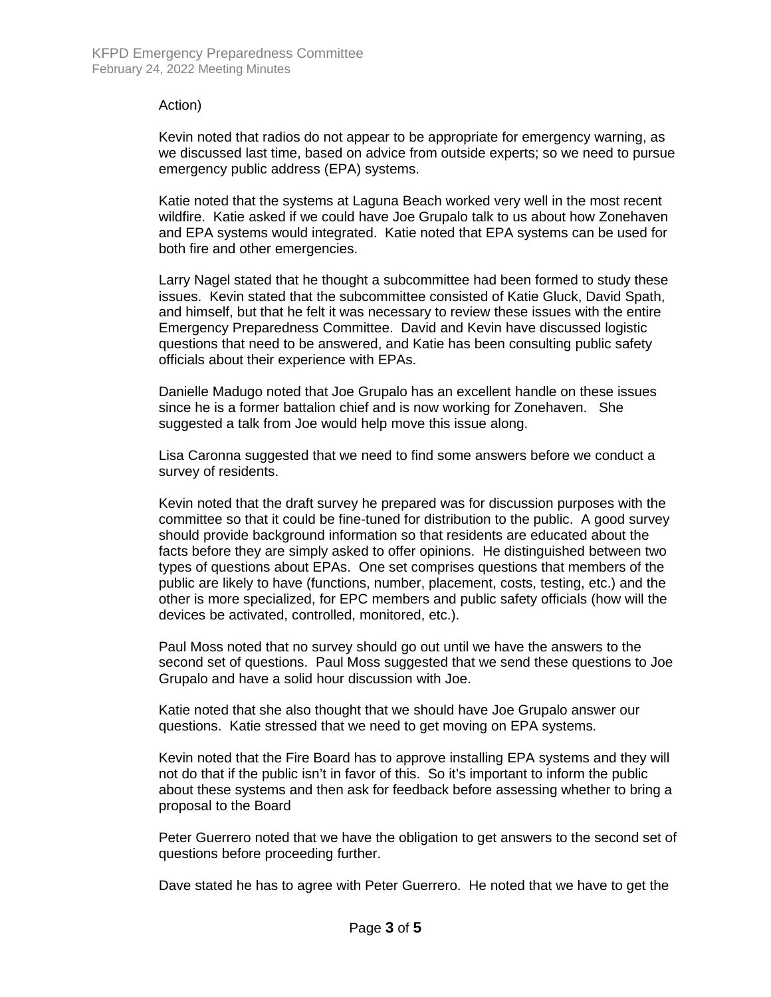#### Action)

Kevin noted that radios do not appear to be appropriate for emergency warning, as we discussed last time, based on advice from outside experts; so we need to pursue emergency public address (EPA) systems.

Katie noted that the systems at Laguna Beach worked very well in the most recent wildfire. Katie asked if we could have Joe Grupalo talk to us about how Zonehaven and EPA systems would integrated. Katie noted that EPA systems can be used for both fire and other emergencies.

Larry Nagel stated that he thought a subcommittee had been formed to study these issues. Kevin stated that the subcommittee consisted of Katie Gluck, David Spath, and himself, but that he felt it was necessary to review these issues with the entire Emergency Preparedness Committee. David and Kevin have discussed logistic questions that need to be answered, and Katie has been consulting public safety officials about their experience with EPAs.

Danielle Madugo noted that Joe Grupalo has an excellent handle on these issues since he is a former battalion chief and is now working for Zonehaven. She suggested a talk from Joe would help move this issue along.

Lisa Caronna suggested that we need to find some answers before we conduct a survey of residents.

Kevin noted that the draft survey he prepared was for discussion purposes with the committee so that it could be fine-tuned for distribution to the public. A good survey should provide background information so that residents are educated about the facts before they are simply asked to offer opinions. He distinguished between two types of questions about EPAs. One set comprises questions that members of the public are likely to have (functions, number, placement, costs, testing, etc.) and the other is more specialized, for EPC members and public safety officials (how will the devices be activated, controlled, monitored, etc.).

Paul Moss noted that no survey should go out until we have the answers to the second set of questions. Paul Moss suggested that we send these questions to Joe Grupalo and have a solid hour discussion with Joe.

Katie noted that she also thought that we should have Joe Grupalo answer our questions. Katie stressed that we need to get moving on EPA systems.

Kevin noted that the Fire Board has to approve installing EPA systems and they will not do that if the public isn't in favor of this. So it's important to inform the public about these systems and then ask for feedback before assessing whether to bring a proposal to the Board

Peter Guerrero noted that we have the obligation to get answers to the second set of questions before proceeding further.

Dave stated he has to agree with Peter Guerrero. He noted that we have to get the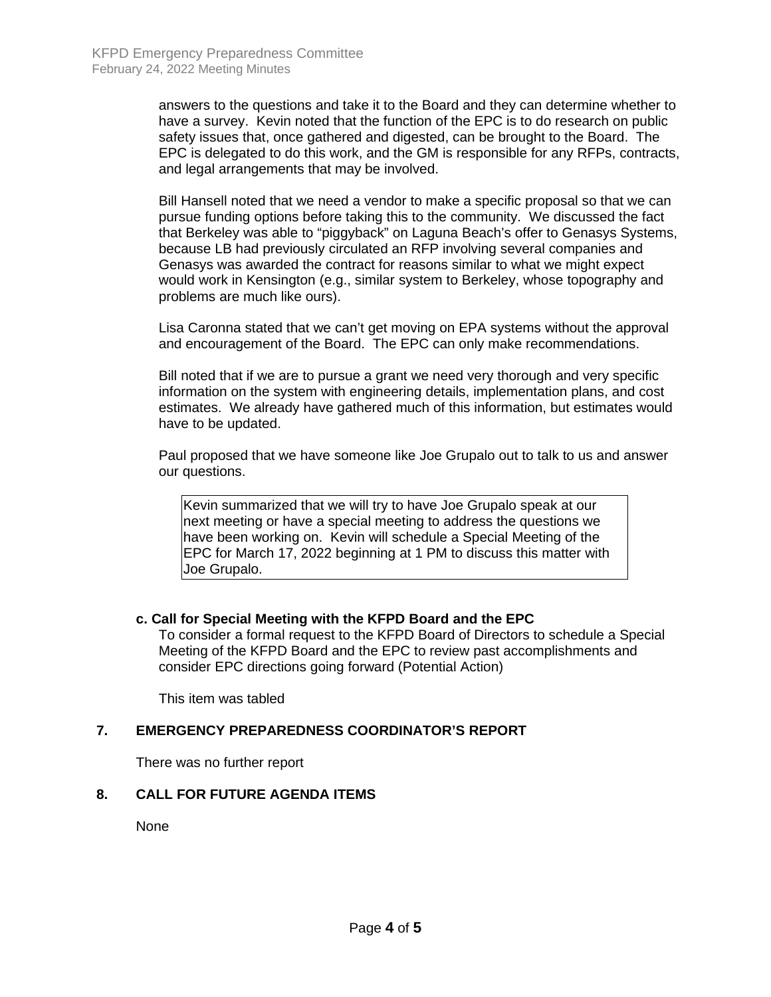answers to the questions and take it to the Board and they can determine whether to have a survey. Kevin noted that the function of the EPC is to do research on public safety issues that, once gathered and digested, can be brought to the Board. The EPC is delegated to do this work, and the GM is responsible for any RFPs, contracts, and legal arrangements that may be involved.

Bill Hansell noted that we need a vendor to make a specific proposal so that we can pursue funding options before taking this to the community. We discussed the fact that Berkeley was able to "piggyback" on Laguna Beach's offer to Genasys Systems, because LB had previously circulated an RFP involving several companies and Genasys was awarded the contract for reasons similar to what we might expect would work in Kensington (e.g., similar system to Berkeley, whose topography and problems are much like ours).

Lisa Caronna stated that we can't get moving on EPA systems without the approval and encouragement of the Board. The EPC can only make recommendations.

Bill noted that if we are to pursue a grant we need very thorough and very specific information on the system with engineering details, implementation plans, and cost estimates. We already have gathered much of this information, but estimates would have to be updated.

Paul proposed that we have someone like Joe Grupalo out to talk to us and answer our questions.

Kevin summarized that we will try to have Joe Grupalo speak at our next meeting or have a special meeting to address the questions we have been working on. Kevin will schedule a Special Meeting of the EPC for March 17, 2022 beginning at 1 PM to discuss this matter with Joe Grupalo.

### **c. Call for Special Meeting with the KFPD Board and the EPC**

To consider a formal request to the KFPD Board of Directors to schedule a Special Meeting of the KFPD Board and the EPC to review past accomplishments and consider EPC directions going forward (Potential Action)

This item was tabled

#### **7. EMERGENCY PREPAREDNESS COORDINATOR'S REPORT**

There was no further report

#### **8. CALL FOR FUTURE AGENDA ITEMS**

None